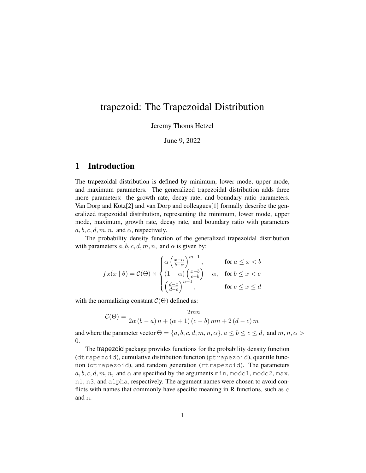# trapezoid: The Trapezoidal Distribution

Jeremy Thoms Hetzel

June 9, 2022

### 1 Introduction

The trapezoidal distribution is defined by minimum, lower mode, upper mode, and maximum parameters. The generalized trapezoidal distribution adds three more parameters: the growth rate, decay rate, and boundary ratio parameters. Van Dorp and Kotz[\[2\]](#page-5-0) and van Dorp and colleagues[\[1\]](#page-5-1) formally describe the generalized trapezoidal distribution, representing the minimum, lower mode, upper mode, maximum, growth rate, decay rate, and boundary ratio with parameters  $a, b, c, d, m, n$ , and  $\alpha$ , respectively.

The probability density function of the generalized trapezoidal distribution with parameters  $a, b, c, d, m, n$ , and  $\alpha$  is given by:

$$
f_X(x \mid \theta) = C(\Theta) \times \begin{cases} \alpha \left(\frac{x-\alpha}{b-\alpha}\right)^{m-1}, & \text{for } a \le x < b \\ (1-\alpha) \left(\frac{x-b}{c-b}\right) + \alpha, & \text{for } b \le x < c \\ \left(\frac{d-x}{d-c}\right)^{n-1}, & \text{for } c \le x \le d \end{cases}
$$

with the normalizing constant  $C(\Theta)$  defined as:

$$
C(\Theta) = \frac{2mn}{2\alpha (b-a)n + (\alpha + 1) (c-b) mn + 2 (d-c)m}
$$

and where the parameter vector  $\Theta = \{a, b, c, d, m, n, \alpha\}, a \le b \le c \le d$ , and  $m, n, \alpha >$ 0.

The trapezoid package provides functions for the probability density function (dtrapezoid), cumulative distribution function (ptrapezoid), quantile function (qtrapezoid), and random generation (rtrapezoid). The parameters  $a, b, c, d, m, n$ , and  $\alpha$  are specified by the arguments min, mode1, mode2, max, n1, n3, and alpha, respectively. The argument names were chosen to avoid conflicts with names that commonly have specific meaning in R functions, such as c and n.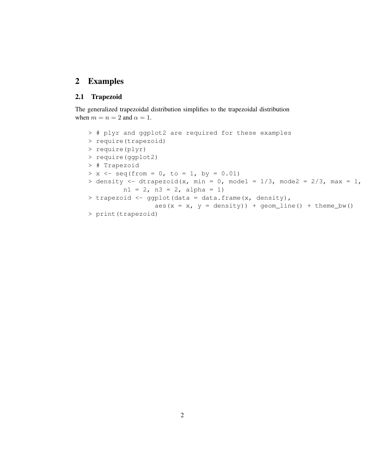# 2 Examples

#### 2.1 Trapezoid

The generalized trapezoidal distribution simplifies to the trapezoidal distribution when  $m = n = 2$  and  $\alpha = 1$ .

```
> # plyr and ggplot2 are required for these examples
> require(trapezoid)
> require(plyr)
> require(ggplot2)
> # Trapezoid
> x < - seq(from = 0, to = 1, by = 0.01)
> density <- dtrapezoid(x, min = 0, mode1 = 1/3, mode2 = 2/3, max = 1,
         nl = 2, n3 = 2, alpha = 1)
> trapezoid <- ggplot(data = data.frame(x, density),
                 aes(x = x, y = density) + geom_line() + theme_bw()
> print(trapezoid)
```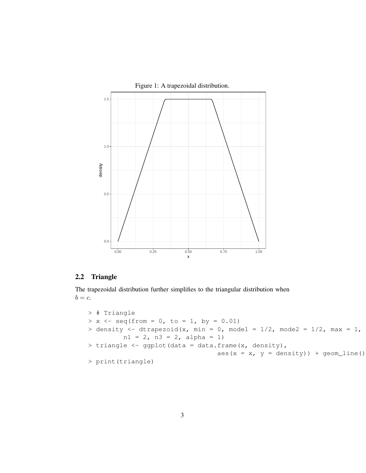

Figure 1: A trapezoidal distribution.

### 2.2 Triangle

The trapezoidal distribution further simplifies to the triangular distribution when  $b = c$ .

```
> # Triangle
> x \leftarrow \text{seq}(\text{from} = 0, \text{ to } = 1, \text{ by } = 0.01)> density <- dtrapezoid(x, min = 0, mode1 = 1/2, mode2 = 1/2, max = 1,
          nl = 2, n3 = 2, alpha = 1)
> triangle <- ggplot(data = data.frame(x, density),
                                      aes(x = x, y = density)) + geom_line()
> print(triangle)
```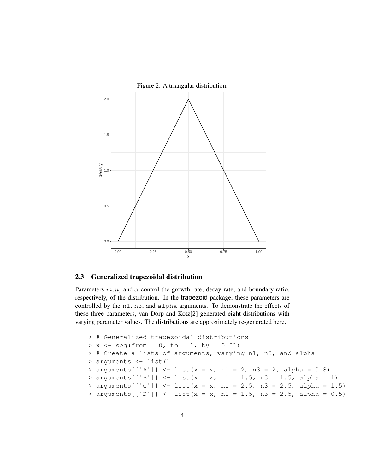

Figure 2: A triangular distribution.

#### 2.3 Generalized trapezoidal distribution

Parameters  $m, n$ , and  $\alpha$  control the growth rate, decay rate, and boundary ratio, respectively, of the distribution. In the trapezoid package, these parameters are controlled by the n1, n3, and alpha arguments. To demonstrate the effects of these three parameters, van Dorp and Kotz[\[2\]](#page-5-0) generated eight distributions with varying parameter values. The distributions are approximately re-generated here.

```
> # Generalized trapezoidal distributions
> x < - seq(from = 0, to = 1, by = 0.01)
> # Create a lists of arguments, varying n1, n3, and alpha
> arguments <- list()
> arguments [['A'] ] \le - \text{list}(x = x, n1 = 2, n3 = 2, \text{alpha} = 0.8)> arguments[['B']] <- list(x = x, n1 = 1.5, n3 = 1.5, alpha = 1)
> arguments[['C']] <- list(x = x, n1 = 2.5, n3 = 2.5, alpha = 1.5)
> arguments[['D']] <- list(x = x, n1 = 1.5, n3 = 2.5, alpha = 0.5)
```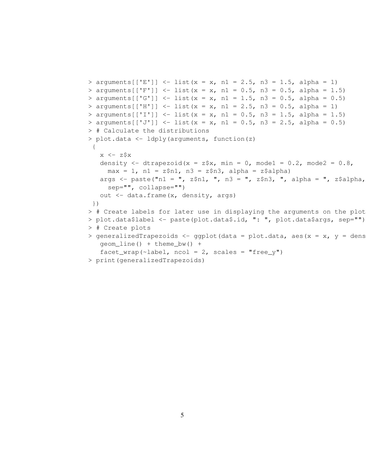```
> arguments [['E'] ] \le - \text{list}(x = x, n1 = 2.5, n3 = 1.5, alpha = 1)> arguments[['F']] <- list(x = x, n1 = 0.5, n3 = 0.5, alpha = 1.5)
> arguments[['G']] <- list(x = x, n1 = 1.5, n3 = 0.5, alpha = 0.5)
> arguments[['H']] <- list(x = x, n1 = 2.5, n3 = 0.5, alpha = 1)
> arguments[['I']] <- list(x = x, n1 = 0.5, n3 = 1.5, alpha = 1.5)
> arguments[['J']] <- list(x = x, n1 = 0.5, n3 = 2.5, alpha = 0.5)
> # Calculate the distributions
> plot.data <- ldply(arguments, function(z)
 {
   x \leftarrow z$x
   density \le - dtrapezoid(x = z\frac{5}{x}, min = 0, mode1 = 0.2, mode2 = 0.8,
     max = 1, nl = z$nl, n3 = z$n3, alpha = z$alpha)
   args \leq paste("n1 = ", z$n1, ", n3 = ", z$n3, ", alpha = ", z$alpha,
     sep="", collapse="")
   out <- data.frame(x, density, args)
})
> # Create labels for later use in displaying the arguments on the plots
> plot.data$label <- paste(plot.data$.id, ": ", plot.data$args, sep="")
> # Create plots
> generalizedTrapezoids <- ggplot(data = plot.data, aes(x = x, y = dens
   geom line() + theme bw() +facet_wrap(\text{label}, ncol = 2, scales = "free_y")
> print(generalizedTrapezoids)
```